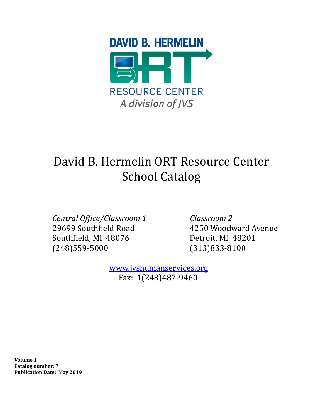

# David B. Hermelin ORT Resource Center School Catalog

*Central Office/Classroom 1* 29699 Southfield Road Southfield, MI 48076 (248)559-5000

*Classroom 2* 4250 Woodward Avenue Detroit, MI 48201 (313)833-8100

 [www.jvshumanservices.org](http://www.jvshumanservices.org/) Fax: 1(248)487-9460

**Volume 1 Catalog number: 7 Publication Date: May 2019**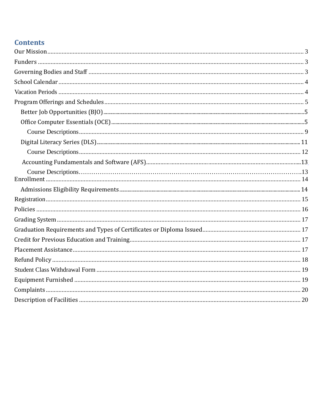# **Contents**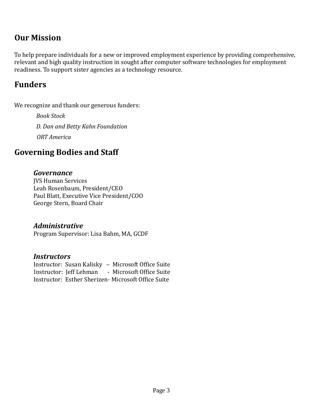## <span id="page-2-0"></span>**Our Mission**

To help prepare individuals for a new or improved employment experience by providing comprehensive, relevant and high quality instruction in sought after computer software technologies for employment readiness. To support sister agencies as a technology resource.

## <span id="page-2-1"></span>**Funders**

We recognize and thank our generous funders:

*Book Stock D. Dan and Betty Kahn Foundation ORT America*

## <span id="page-2-2"></span>**Governing Bodies and Staff**

### *Governance*

JVS Human Services Leah Rosenbaum, President/CEO Paul Blatt, Executive Vice President/COO George Stern, Board Chair

### *Administrative*

Program Supervisor: Lisa Bahm, MA, GCDF

### *Instructors*

 Instructor: Susan Kalisky – Microsoft Office Suite Instructor: Jeff Lehman - Microsoft Office Suite Instructor: Esther Sherizen- Microsoft Office Suite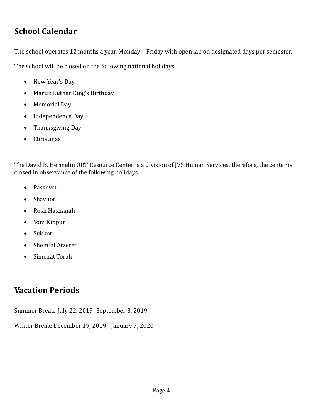# <span id="page-3-0"></span>**School Calendar**

The school operates 12 months a year, Monday – Friday with open lab on designated days per semester.

The school will be closed on the following national holidays:

- New Year's Day
- Martin Luther King's Birthday
- Memorial Day
- Independence Day
- Thanksgiving Day
- Christmas

The David B. Hermelin ORT Resource Center is a division of JVS Human Services, therefore, the center is closed in observance of the following holidays:

- Passover
- Shavuot
- Rosh Hashanah
- Yom Kippur
- Sukkot
- Shemini Atzeret
- Simchat Torah

# <span id="page-3-1"></span>**Vacation Periods**

Summer Break: July 22, 2019- September 3, 2019

Winter Break: December 19, 2019 - January 7, 2020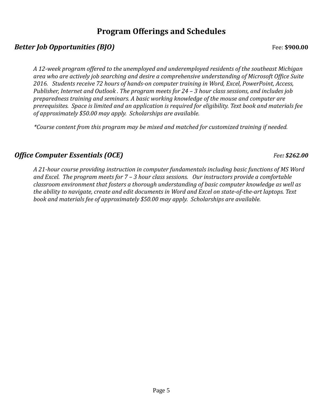## **Program Offerings and Schedules**

## <span id="page-4-1"></span><span id="page-4-0"></span>*Better Job Opportunities (BJO)* Fee: \$900.00

*A 12-week program offered to the unemployed and underemployed residents of the southeast Michigan area who are actively job searching and desire a comprehensive understanding of Microsoft Office Suite 2016. Students receive 72 hours of hands-on computer training in Word, Excel, PowerPoint, Access, Publisher, Internet and Outlook . The program meets for 24 – 3 hour class sessions, and includes job preparedness training and seminars. A basic working knowledge of the mouse and computer are prerequisites. Space is limited and an application is required for eligibility. Text book and materials fee of approximately \$50.00 may apply. Scholarships are available.*

 *\*Course content from this program may be mixed and matched for customized training if needed.* 

## *Office Computer Essentials (OCE) Fee: \$262.00*

*A 21-hour course providing instruction in computer fundamentals including basic functions of MS Word and Excel. The program meets for 7 – 3 hour class sessions. Our instructors provide a comfortable classroom environment that fosters a thorough understanding of basic computer knowledge as well as the ability to navigate, create and edit documents in Word and Excel on state-of-the-art laptops. Text book and materials fee of approximately \$50.00 may apply. Scholarships are available.*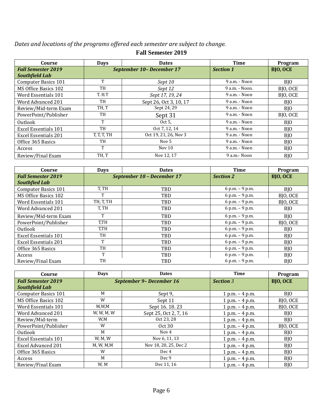*Dates and locations of the programs offered each semester are subject to change.*

| Course                      | <b>Days</b> | <b>Dates</b>              | <b>Time</b>      | Program         |
|-----------------------------|-------------|---------------------------|------------------|-----------------|
| <b>Fall Semester 2019</b>   |             | September 10- December 17 | <b>Section 1</b> | <b>BJO, OCE</b> |
| <b>Southfield Lab</b>       |             |                           |                  |                 |
| <b>Computer Basics 101</b>  | T           | Sept 10                   | 9 a.m. - Noon    | B <sub>IO</sub> |
| MS Office Basics 102        | TH          | Sept 12                   | 9 a.m. - Noon.   | BJO, OCE        |
| Word Essentials 101         | T.H.T       | Sept 17, 19, 24           | 9 a.m. - Noon    | BJO, OCE        |
| Word Advanced 201           | TH          | Sept 26, Oct 3, 10, 17    | 9 a.m. - Noon    | B <sub>IO</sub> |
| Review/Mid-term Exam        | TH, T       | Sept 24, 29               | 9 a.m. - Noon    | BJ <sub>0</sub> |
| PowerPoint/Publisher        | TH          | Sept 31                   | $9$ a.m. - Noon  | BJO, OCE        |
| Outlook                     | T           | Oct $5$ ,                 | 9 a.m. - Noon    | BJO             |
| <b>Excel Essentials 101</b> | TH          | Oct 7, 12, 14             | 9 a.m. - Noon    | B <sub>IO</sub> |
| <b>Excel Essentials 201</b> | T, T, T, TH | Oct 19, 21, 26, Nov 3     | 9 a.m. - Noon    | BJ <sub>0</sub> |
| Office 365 Basics           | TH          | Nov 5                     | 9 a.m. - Noon    | BJ <sub>0</sub> |
| Access                      | T           | Nov $10$                  | 9 a.m. - Noon    | BJ <sub>0</sub> |
| Review/Final Exam           | TH, T       | Nov 12, 17                | 9 a.m.- Noon     | B <sub>IO</sub> |

#### **Fall Semester 2019**

| Course                      | <b>Days</b> | <b>Dates</b>               | <b>Time</b>      | Program         |
|-----------------------------|-------------|----------------------------|------------------|-----------------|
| <b>Fall Semester 2019</b>   |             | September 10 - December 17 | <b>Section 2</b> | <b>BJO, OCE</b> |
| <b>Southfied Lab</b>        |             |                            |                  |                 |
| <b>Computer Basics 101</b>  | T, TH       | TBD                        | 6 p.m. $-9$ p.m. | BJ <sub>0</sub> |
| MS Office Basics 102        | т           | <b>TBD</b>                 | 6 p.m. - 9 p.m.  | BJO, OCE        |
| Word Essentials 101         | TH, T, TH   | TBD                        | 6 p.m. - 9 p.m.  | BJO, OCE        |
| Word Advanced 201           | T, TH       | <b>TBD</b>                 | 6 p.m. - 9 p.m.  | BJO.            |
| Review/Mid-term Exam        | T           | <b>TBD</b>                 | 6 p.m. $-9$ p.m. | BJ <sub>O</sub> |
| PowerPoint/Publisher        | T,TH        | TBD                        | 6 p.m. - 9 p.m.  | BJO, OCE        |
| Outlook                     | T.TH        | TBD                        | 6 p.m. - 9 p.m.  | BJO             |
| <b>Excel Essentials 101</b> | TH          | TBD                        | 6 p.m. - 9 p.m.  | B <sub>IO</sub> |
| <b>Excel Essentials 201</b> | T           | TBD                        | 6 p.m. - 9 p.m.  | BJO             |
| Office 365 Basics           | TH          | TBD                        | 6 p.m. - 9 p.m.  | BJ <sub>0</sub> |
| Access                      | T           | <b>TBD</b>                 | 6 p.m. - 9 p.m.  | BJO             |
| Review/Final Exam           | TH          | TBD                        | 6 p.m. - 9 p.m.  | BJO             |

| Course                      | <b>Days</b> | <b>Dates</b>             | <b>Time</b>       | Program         |
|-----------------------------|-------------|--------------------------|-------------------|-----------------|
| <b>Fall Semester 2019</b>   |             | September 9- December 16 | <b>Section 3</b>  | <b>BJO, OCE</b> |
| Southfield Lab              |             |                          |                   |                 |
| <b>Computer Basics 101</b>  | M           | Sept 9,                  | $1 p.m. - 4 p.m.$ | BJO             |
| MS Office Basics 102        | W           | Sept 11                  | $1 p.m. - 4 p.m.$ | BJO, OCE        |
| Word Essentials 101         | M, W, M     | Sept 16. 18. 23          | $1 p.m. - 4 p.m.$ | BJO, OCE        |
| Word Advanced 201           | W, W, M, W  | Sept 25, Oct 2, 7, 16    | $1 p.m. - 4 p.m.$ | BJO             |
| Review/Mid-term             | W,M         | Oct 23, 28               | $1 p.m. - 4 p.m.$ | BJO             |
| PowerPoint/Publisher        | W           | Oct30                    | $1 p.m. - 4 p.m.$ | BJO, OCE        |
| Outlook                     | M           | Nov 4                    | 1 p.m. $-4$ p.m.  | BJO             |
| <b>Excel Essentials 101</b> | W, M, W     | Nov 6, 11, 13            | $1 p.m. - 4 p.m.$ | BJO             |
| <b>Excel Advanced 201</b>   | M, W, M, M  | Nov 18, 20, 25, Dec 2    | $1 p.m. - 4 p.m.$ | BJO             |
| Office 365 Basics           | W           | Dec 4                    | $1 p.m. - 4 p.m.$ | BJO             |
| Access                      | M           | Dec 9                    | $1 p.m. - 4 p.m.$ | BJO             |
| Review/Final Exam           | W, M        | Dec 11, 16               | 1 p.m. $-$ 4 p.m. | B <sub>IO</sub> |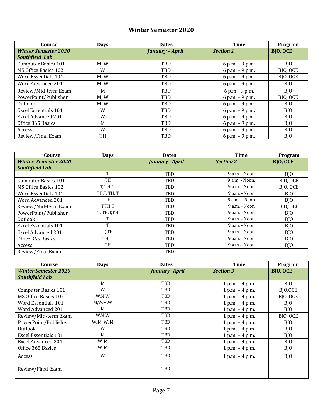### **Winter Semester 2020**

| Course                      | <b>Days</b> | <b>Dates</b>           | Time             | Program         |
|-----------------------------|-------------|------------------------|------------------|-----------------|
| <b>Winter Semester 2020</b> |             | <b>January - April</b> | <b>Section 1</b> | <b>BJO, OCE</b> |
| Southfield Lab              |             |                        |                  |                 |
| <b>Computer Basics 101</b>  | M.W         | TBD                    | 6 p.m. $-9$ p.m. | BJ <sub>O</sub> |
| MS Office Basics 102        | W           | TBD                    | 6 p.m. $-9$ p.m. | BJO, OCE        |
| Word Essentials 101         | M, W        | TBD                    | 6 p.m. - 9 p.m.  | BJO, OCE        |
| Word Advanced 201           | M, W        | TBD                    | 6 p.m. - 9 p.m.  | BJO             |
| Review/Mid-term Exam        | M           | TBD                    | 6 p.m. - 9 p.m.  | BJ <sub>O</sub> |
| PowerPoint/Publisher        | M, W        | TBD                    | 6 p.m. - 9 p.m.  | BJO, OCE        |
| Outlook                     | M, W        | TBD                    | 6 p.m. - 9 p.m.  | BJO             |
| <b>Excel Essentials 101</b> | W           | TBD                    | 6 p.m. - 9 p.m.  | BJ <sub>O</sub> |
| <b>Excel Advanced 201</b>   | W           | TBD                    | 6 p.m. - 9 p.m.  | BJ <sub>O</sub> |
| Office 365 Basics           | M           | TBD                    | 6 p.m. $-9$ p.m. | BJ <sub>0</sub> |
| Access                      | W           | TBD                    | 6 p.m. - 9 p.m.  | BJ <sub>O</sub> |
| Review/Final Exam           | TH          | TBD                    | 6 p.m. $-9$ p.m. | B <sub>IO</sub> |

| Course                      | <b>Days</b>  | <b>Dates</b>           | <b>Time</b>       | Program         |
|-----------------------------|--------------|------------------------|-------------------|-----------------|
| <b>Winter Semester 2020</b> |              | <b>January - April</b> | <b>Section 2</b>  | <b>BJO, OCE</b> |
| <b>Southfield Lab</b>       |              |                        |                   |                 |
|                             |              | <b>TBD</b>             | 9 a.m. - Noon     | BJ <sub>0</sub> |
| Computer Basics 101         | TH           | TBD                    | 9 a.m. - Noon.    | BJO, OCE        |
| MS Office Basics 102        | T, TH, T     | TBD                    | 9 a.m. - Noon     | BJO, OCE        |
| Word Essentials 101         | TH,T, TH, T  | TBD                    | 9 a.m. - Noon     | BJO             |
| Word Advanced 201           | TH           | TBD                    | $9$ a.m. $-$ Noon | BJ <sub>O</sub> |
| Review/Mid-term Exam        | T,TH,T       | TBD                    | 9 a.m. - Noon     | BJO, OCE        |
| PowerPoint/Publisher        | T, TH, T, TH | <b>TBD</b>             | 9 a.m. - Noon     | BJ <sub>O</sub> |
| Outlook                     |              | TBD                    | 9 a.m. - Noon     | BJO             |
| Excel Essentials 101        | T            | TBD                    | 9 a.m. - Noon     | BJO             |
| <b>Excel Advanced 201</b>   | T, TH        | TBD                    | 9 a.m. - Noon     | BJO             |
| Office 365 Basics           | TH, T        | TBD                    | 9 a.m. - Noon     | BJ <sub>O</sub> |
| Access                      | TH           | TBD                    | 9 a.m.- Noon      | BJ <sub>O</sub> |
| Review/Final Exam           |              | <b>TBD</b>             |                   |                 |

| Course                      | <b>Days</b> | <b>Dates</b>          | <b>Time</b>       | Program         |
|-----------------------------|-------------|-----------------------|-------------------|-----------------|
| <b>Winter Semester 2020</b> |             | <b>January -April</b> | <b>Section 3</b>  | <b>BJO, OCE</b> |
| <b>Southfield Lab</b>       |             |                       |                   |                 |
|                             | M           | TBD                   | $1 p.m. - 4 p.m.$ | BJ <sub>0</sub> |
| <b>Computer Basics 101</b>  | W           | TBD                   | $1 p.m. - 4 p.m.$ | BJ0,0CE         |
| MS Office Basics 102        | W,M,W       | TBD                   | $1 p.m. - 4 p.m.$ | BJO, OCE        |
| Word Essentials 101         | M, W, M, W  | TBD                   | $1 p.m. - 4 p.m.$ | BJO             |
| Word Advanced 201           | M           | TBD                   | $1 p.m. - 4 p.m.$ | BJO             |
| Review/Mid-term Exam        | W,M,W       | TBD                   | $1 p.m. - 4 p.m.$ | BJO, OCE        |
| PowerPoint/Publisher        | W, M, W, M  | TBD                   | $1 p.m. - 4 p.m.$ | BJO             |
| Outlook                     | W           | TBD                   | $1 p.m. - 4 p.m.$ | BJO             |
| <b>Excel Essentials 101</b> | M           | TBD                   | $1 p.m. - 4 p.m.$ | BJO             |
| <b>Excel Advanced 201</b>   | W, M        | TBD                   | $1 p.m. - 4 p.m.$ | BJO             |
| Office 365 Basics           | W, M        | TBD                   | $1 p.m. - 4 p.m.$ | BJO             |
| Access                      | W           | TBD                   | $1 p.m. - 4 p.m.$ | BJO             |
| Review/Final Exam           |             | TBD                   |                   |                 |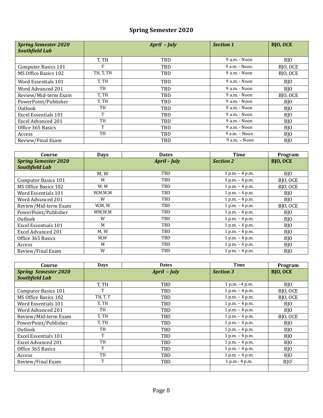## **Spring Semester 2020**

| <b>Spring Semester 2020</b><br><b>Southfield Lab</b> |           | April - July | <b>Section 1</b>  | <b>BJO, OCE</b> |
|------------------------------------------------------|-----------|--------------|-------------------|-----------------|
|                                                      | T, TH     | <b>TBD</b>   | 9 a.m. - Noon     | B <sub>IO</sub> |
| Computer Basics 101                                  | T         | TBD          | 9 a.m. - Noon.    | BJO, OCE        |
| MS Office Basics 102                                 | TH, T, TH | <b>TBD</b>   | 9 a.m. - Noon     | BJO, OCE        |
| Word Essentials 101                                  | T, TH     | <b>TBD</b>   | $9a.m. - Noon$    | BJ <sub>0</sub> |
| Word Advanced 201                                    | TH        | TBD          | 9 a.m. - Noon     | BJO             |
| Review/Mid-term Exam                                 | T, TH     | TBD          | 9 a.m. - Noon     | BJO, OCE        |
| PowerPoint/Publisher                                 | T, TH     | <b>TBD</b>   | 9 a.m. - Noon     | BJ <sub>0</sub> |
| Outlook                                              | TH        | <b>TBD</b>   | 9 a.m. - Noon     | BJ <sub>O</sub> |
| Excel Essentials 101                                 | T         | TBD          | 9 a.m. - Noon     | BJ <sub>O</sub> |
| <b>Excel Advanced 201</b>                            | TH        | TBD          | 9 a.m. - Noon     | BJO             |
| Office 365 Basics                                    | T         | TBD          | 9 a.m. - Noon     | BJ <sub>O</sub> |
| Access                                               | TH        | TBD          | $9$ a.m. $-$ Noon | BJO             |
| Review/Final Exam                                    |           | <b>TBD</b>   | 9 a.m. - Noon     | B <sub>IO</sub> |

| Course                      | <b>Days</b> | <b>Dates</b>        | <b>Time</b>       | Program         |
|-----------------------------|-------------|---------------------|-------------------|-----------------|
| <b>Spring Semester 2020</b> |             | <b>April</b> - July | <b>Section 2</b>  | <b>BJO, OCE</b> |
| <b>Southfield Lab</b>       |             |                     |                   |                 |
|                             | M, W        | TBD                 | $1 p.m. - 4 p.m.$ | B <sub>IO</sub> |
| <b>Computer Basics 101</b>  | M           | TBD                 | $1 p.m. - 4 p.m.$ | BJO, OCE        |
| MS Office Basics 102        | W, M        | TBD                 | $1 p.m. - 4 p.m.$ | BJO, OCE        |
| Word Essentials 101         | W,M,W,M     | TBD                 | $1 p.m. - 4 p.m.$ | B <sub>IO</sub> |
| Word Advanced 201           | W           | TBD                 | $1 p.m. - 4 p.m.$ | BJ <sub>0</sub> |
| Review/Mid-term Exam        | W,M, W      | TBD                 | $1 p.m. - 4 p.m.$ | BJO, OCE        |
| PowerPoint/Publisher        | WM,W,M      | TBD                 | $1 p.m. - 4 p.m.$ | BJ <sub>0</sub> |
| Outlook                     | W           | TBD                 | $1 p.m. - 4 p.m.$ | BJ <sub>O</sub> |
| <b>Excel Essentials 101</b> | M           | TBD                 | $1 p.m. - 4 p.m.$ | BJO             |
| <b>Excel Advanced 201</b>   | M, W        | TBD                 | $1 p.m. - 4 p.m.$ | BJO             |
| Office 365 Basics           | M,W         | TBD                 | $1 p.m. - 4 p.m.$ | BJ <sub>O</sub> |
| Access                      | M           | TBD                 | $1 p.m. - 4 p.m.$ | BJ <sub>O</sub> |
| Review/Final Exam           | W           | TBD                 | $1 p.m. - 4 p.m.$ | B <sub>IO</sub> |

| Course                      | <b>Days</b> | <b>Dates</b> | <b>Time</b>       | Program         |
|-----------------------------|-------------|--------------|-------------------|-----------------|
| <b>Spring Semester 2020</b> |             | April - July | <b>Section 3</b>  | <b>BJO, OCE</b> |
| <b>Southfield Lab</b>       |             |              |                   |                 |
|                             | T, TH       | <b>TBD</b>   | 1 p.m. $-4$ p.m.  | B <sub>IO</sub> |
| <b>Computer Basics 101</b>  | Т           | TBD          | $1 p.m. - 4 p.m.$ | BJO, OCE        |
| MS Office Basics 102        | TH, T, T    | TBD          | $1 p.m. - 4 p.m.$ | BJO, OCE        |
| Word Essentials 101         | T, TH       | TBD          | $1 p.m. - 4 p.m.$ | BJO             |
| Word Advanced 201           | TH          | TBD          | $1 p.m. - 4 p.m.$ | BJ <sub>O</sub> |
| Review/Mid-term Exam        | T, TH       | TBD          | 1 p.m. $-4$ p.m.  | BJO, OCE        |
| PowerPoint/Publisher        | T, TH       | <b>TBD</b>   | $1 p.m. - 4 p.m.$ | B <sub>IO</sub> |
| Outlook                     | TH          | <b>TBD</b>   | $1 p.m. - 4 p.m.$ | BJO             |
| <b>Excel Essentials 101</b> | T           | TBD          | $1 p.m. - 4 p.m.$ | BJ <sub>O</sub> |
| <b>Excel Advanced 201</b>   | TH          | TBD          | $1 p.m. - 4 p.m.$ | BJ <sub>O</sub> |
| Office 365 Basics           | T           | TBD          | $1 p.m. - 4 p.m.$ | BJO             |
| Access                      | TH          | TBD          | $1 p.m. - 4 p.m.$ | B <sub>IO</sub> |
| Review/Final Exam           | T           | TBD          | 1 p.m. - 4 p.m.   | $B$ [O          |
|                             |             |              |                   |                 |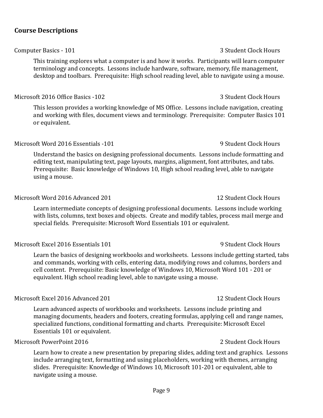#### <span id="page-8-0"></span>**Course Descriptions**

#### Computer Basics - 101 3 Student Clock Hours

This training explores what a computer is and how it works. Participants will learn computer terminology and concepts. Lessons include hardware, software, memory, file management, desktop and toolbars. Prerequisite: High school reading level, able to navigate using a mouse.

#### Microsoft 2016 Office Basics -102 3 Student Clock Hours

This lesson provides a working knowledge of MS Office. Lessons include navigation, creating and working with files, document views and terminology. Prerequisite: Computer Basics 101 or equivalent.

#### Microsoft Word 2016 Essentials -101 **9 Student Clock Hours** 9 Student Clock Hours

Understand the basics on designing professional documents. Lessons include formatting and editing text, manipulating text, page layouts, margins, alignment, font attributes, and tabs. Prerequisite: Basic knowledge of Windows 10, High school reading level, able to navigate using a mouse.

#### Microsoft Word 2016 Advanced 201

Learn intermediate concepts of designing professional documents. Lessons include working with lists, columns, text boxes and objects. Create and modify tables, process mail merge and special fields. Prerequisite: Microsoft Word Essentials 101 or equivalent.

#### Microsoft Excel 2016 Essentials 101 **9 Student Clock Hours** 9 Student Clock Hours

Learn the basics of designing workbooks and worksheets. Lessons include getting started, tabs and commands, working with cells, entering data, modifying rows and columns, borders and cell content. Prerequisite: Basic knowledge of Windows 10, Microsoft Word 101 - 201 or equivalent. High school reading level, able to navigate using a mouse.

#### Microsoft Excel 2016 Advanced 201

Learn advanced aspects of workbooks and worksheets. Lessons include printing and managing documents, headers and footers, creating formulas, applying cell and range names, specialized functions, conditional formatting and charts. Prerequisite: Microsoft Excel Essentials 101 or equivalent.

#### Microsoft PowerPoint 2016 2 Student Clock Hours

Learn how to create a new presentation by preparing slides, adding text and graphics. Lessons include arranging text, formatting and using placeholders, working with themes, arranging slides. Prerequisite: Knowledge of Windows 10, Microsoft 101-201 or equivalent, able to navigate using a mouse.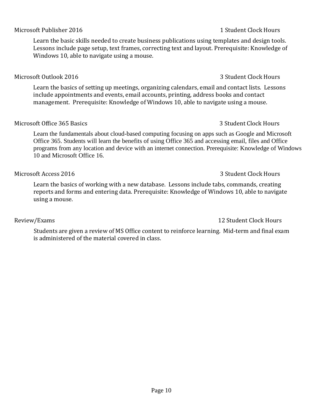#### Microsoft Publisher 2016 1 Student Clock Hours

Learn the basic skills needed to create business publications using templates and design tools. Lessons include page setup, text frames, correcting text and layout. Prerequisite: Knowledge of Windows 10, able to navigate using a mouse.

#### Microsoft Outlook 2016 3 Student Clock Hours

Learn the basics of setting up meetings, organizing calendars, email and contact lists. Lessons include appointments and events, email accounts, printing, address books and contact management. Prerequisite: Knowledge of Windows 10, able to navigate using a mouse.

#### Microsoft Office 365 Basics 3 Student Clock Hours 3 Student Clock Hours

Learn the fundamentals about cloud-based computing focusing on apps such as Google and Microsoft Office 365. Students will learn the benefits of using Office 365 and accessing email, files and Office programs from any location and device with an internet connection. Prerequisite: Knowledge of Windows 10 and Microsoft Office 16.

### Learn the basics of working with a new database. Lessons include tabs, commands, creating reports and forms and entering data. Prerequisite: Knowledge of Windows 10, able to navigate using a mouse.

Microsoft Access 2016 3 Student Clock Hours

Students are given a review of MS Office content to reinforce learning. Mid-term and final exam is administered of the material covered in class.

#### Review/Exams 2012 12 Student Clock Hours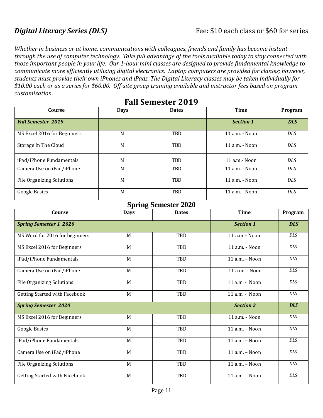<span id="page-10-0"></span>*Whether in business or at home, communications with colleagues, friends and family has become instant through the use of computer technology. Take full advantage of the tools available today to stay connected with those important people in your life. Our 1-hour mini classes are designed to provide fundamental knowledge to communicate more efficiently utilizing digital electronics. Laptop computers are provided for classes; however, students must provide their own iPhones and iPads. The Digital Literacy classes may be taken individually for \$10.00 each or as a series for \$60.00. Off-site group training available and instructor fees based on program customization.*

| Course                           | <b>Days</b> | <b>Dates</b> | <b>Time</b>           | Program    |
|----------------------------------|-------------|--------------|-----------------------|------------|
| <b>Fall Semester 2019</b>        |             |              | <b>Section 1</b>      | <b>DLS</b> |
| MS Excel 2016 for Beginners      | M           | <b>TBD</b>   | 11 a.m. - Noon        | <b>DLS</b> |
| Storage In The Cloud             | M           | TBD          | 11 a.m. - Noon        | <b>DLS</b> |
| iPad/iPhone Fundamentals         | M           | TBD          | $11$ a.m. $\sim$ Noon | <b>DLS</b> |
| Camera Use on iPad/iPhone        | M           | TBD          | 11 a.m. - Noon        | <b>DLS</b> |
| <b>File Organizing Solutions</b> | M           | TBD          | 11 a.m. - Noon        | <b>DLS</b> |
| Google Basics                    | M           | TBD          | 11 a.m. - Noon        | <b>DLS</b> |

## **Fall Semester 2019**

### **Spring Semester 2020**

| Course                           | <b>Days</b> | <b>Dates</b> | <b>Time</b>        | Program    |
|----------------------------------|-------------|--------------|--------------------|------------|
| <b>Spring Semester 1 2020</b>    |             |              | <b>Section 1</b>   | <b>DLS</b> |
| MS Word for 2016 for beginners   | M           | TBD          | 11 a.m. - Noon     | DLS        |
| MS Excel 2016 for Beginners      | M           | TBD          | 11 a.m. - Noon     | DLS        |
| iPad/iPhone Fundamentals         | M           | TBD          | $11$ a.m. $-$ Noon | <b>DLS</b> |
| Camera Use on iPad/iPhone        | M           | TBD          | 11 a.m. - Noon     | <b>DLS</b> |
| <b>File Organizing Solutions</b> | M           | TBD          | $11$ a.m. - Noon   | <b>DLS</b> |
| Getting Started with Facebook    | M           | TBD          | $11$ a.m. - Noon   | DLS        |
| <b>Spring Semester 2020</b>      |             |              | <b>Section 2</b>   | <b>DLS</b> |
| MS Excel 2016 for Beginners      | M           | TBD          | 11 a.m. - Noon     | <b>DLS</b> |
| Google Basics                    | M           | TBD          | 11 a.m. - Noon     | <b>DLS</b> |
| iPad/iPhone Fundamentals         | M           | TBD          | 11 a.m. - Noon     | <b>DLS</b> |
| Camera Use on iPad/iPhone        | M           | TBD          | 11 a.m. - Noon     | <b>DLS</b> |
| <b>File Organizing Solutions</b> | M           | TBD          | 11 a.m. - Noon     | <b>DLS</b> |
| Getting Started with Facebook    | M           | TBD          | $11$ a.m. - Noon   | <b>DLS</b> |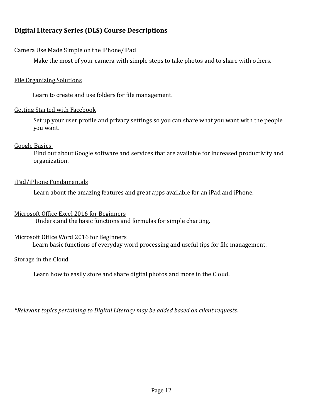## <span id="page-11-0"></span>**Digital Literacy Series (DLS) Course Descriptions**

#### Camera Use Made Simple on the iPhone/iPad

Make the most of your camera with simple steps to take photos and to share with others.

#### File Organizing Solutions

Learn to create and use folders for file management.

#### Getting Started with Facebook

Set up your user profile and privacy settings so you can share what you want with the people you want.

#### Google Basics

 Find out about Google software and services that are available for increased productivity and organization.

#### iPad/iPhone Fundamentals

Learn about the amazing features and great apps available for an iPad and iPhone.

#### Microsoft Office Excel 2016 for Beginners

Understand the basic functions and formulas for simple charting.

#### Microsoft Office Word 2016 for Beginners

Learn basic functions of everyday word processing and useful tips for file management.

#### Storage in the Cloud

Learn how to easily store and share digital photos and more in the Cloud.

*\*Relevant topics pertaining to Digital Literacy may be added based on client requests.*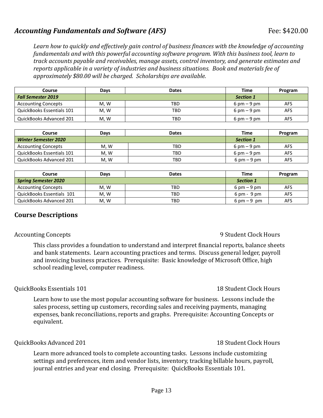### Accounting Fundamentals and Software (AFS) Fee: \$420.00

*Learn how to quickly and effectively gain control of business finances with the knowledge of accounting fundamentals and with this powerful accounting software program. With this business tool, learn to track accounts payable and receivables, manage assets, control inventory, and generate estimates and reports applicable in a variety of industries and business situations. Book and materials fee of approximately \$80.00 will be charged. Scholarships are available.*

| Course                     | Davs | <b>Dates</b> | Time                          | Program |
|----------------------------|------|--------------|-------------------------------|---------|
| <b>Fall Semester 2019</b>  |      |              | <b>Section 1</b>              |         |
| <b>Accounting Concepts</b> | M.W  | TBD          | $6 \text{ pm} - 9 \text{ pm}$ | AFS     |
| QuickBooks Essentials 101  | M.W  | TBD          | $6 \text{ pm} - 9 \text{ pm}$ | AFS     |
| QuickBooks Advanced 201    | M, W | TBD          | $6 \text{ pm} - 9 \text{ pm}$ | AFS     |

| Course                      | Days | <b>Dates</b> | Time                          | Program |
|-----------------------------|------|--------------|-------------------------------|---------|
| <b>Winter Semester 2020</b> |      |              | <b>Section 1</b>              |         |
| <b>Accounting Concepts</b>  | M.W  | TBD          | $6 \text{ pm} - 9 \text{ pm}$ | AFS     |
| QuickBooks Essentials 101   | M. W | TBD          | $6 \text{ pm} - 9 \text{ pm}$ | AFS     |
| QuickBooks Advanced 201     | M. W | TBD          | $6 \text{ pm} - 9 \text{ pm}$ | AFS     |

| Course                      | Davs | <b>Dates</b> | <b>Time</b>                   | Program |
|-----------------------------|------|--------------|-------------------------------|---------|
| <b>Spring Semester 2020</b> |      |              | <b>Section 1</b>              |         |
| <b>Accounting Concepts</b>  | M.W  | TBD          | $6 \text{ pm} - 9 \text{ pm}$ | AFS     |
| QuickBooks Essentials 101   | M.W  | TBD          | $6 \text{ pm} - 9 \text{ pm}$ | AFS     |
| QuickBooks Advanced 201     | M.W  | TBD          | $6 \text{ pm} - 9 \text{ pm}$ | AFS     |

### **Course Descriptions**

This class provides a foundation to understand and interpret financial reports, balance sheets and bank statements. Learn accounting practices and terms. Discuss general ledger, payroll and invoicing business practices. Prerequisite: Basic knowledge of Microsoft Office, high school reading level, computer readiness.

#### QuickBooks Essentials 101 18 Student Clock Hours

Learn how to use the most popular accounting software for business. Lessons include the sales process, setting up customers, recording sales and receiving payments, managing expenses, bank reconciliations, reports and graphs. Prerequisite: Accounting Concepts or equivalent.

#### QuickBooks Advanced 201 18 Student Clock Hours

Learn more advanced tools to complete accounting tasks. Lessons include customizing settings and preferences, item and vendor lists, inventory, tracking billable hours, payroll, journal entries and year end closing. Prerequisite: QuickBooks Essentials 101.

#### Accounting Concepts **Accounting Concepts Accounting Concepts Accounting Concepts Accounting Concepts Accounting Concepts Accounting Concepts Accounting Concepts Accounting Concepts Accounting Concepts Acc**

#### Page 13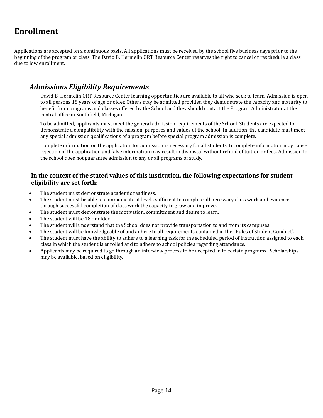## <span id="page-13-0"></span>**Enrollment**

Applications are accepted on a continuous basis. All applications must be received by the school five business days prior to the beginning of the program or class. The David B. Hermelin ORT Resource Center reserves the right to cancel or reschedule a class due to low enrollment.

### <span id="page-13-1"></span>*Admissions Eligibility Requirements*

David B. Hermelin ORT Resource Center learning opportunities are available to all who seek to learn. Admission is open to all persons 18 years of age or older. Others may be admitted provided they demonstrate the capacity and maturity to benefit from programs and classes offered by the School and they should contact the Program Administrator at the central office in Southfield, Michigan.

To be admitted, applicants must meet the general admission requirements of the School. Students are expected to demonstrate a compatibility with the mission, purposes and values of the school. In addition, the candidate must meet any special admission qualifications of a program before special program admission is complete.

Complete information on the application for admission is necessary for all students. Incomplete information may cause rejection of the application and false information may result in dismissal without refund of tuition or fees. Admission to the school does not guarantee admission to any or all programs of study.

#### **In the context of the stated values of this institution, the following expectations for student eligibility are set forth:**

- The student must demonstrate academic readiness.
- The student must be able to communicate at levels sufficient to complete all necessary class work and evidence through successful completion of class work the capacity to grow and improve.
- The student must demonstrate the motivation, commitment and desire to learn.
- The student will be 18 or older.
- The student will understand that the School does not provide transportation to and from its campuses.
- The student will be knowledgeable of and adhere to all requirements contained in the "Rules of Student Conduct".
- The student must have the ability to adhere to a learning task for the scheduled period of instruction assigned to each class in which the student is enrolled and to adhere to school policies regarding attendance.
- Applicants may be required to go through an interview process to be accepted in to certain programs. Scholarships may be available, based on eligibility.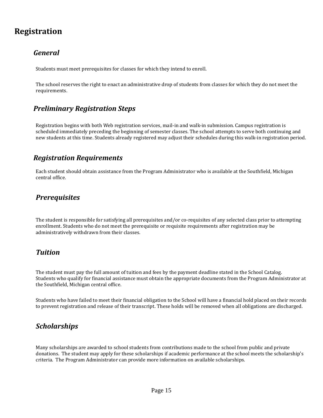## <span id="page-14-0"></span>**Registration**

## *General*

Students must meet prerequisites for classes for which they intend to enroll.

The school reserves the right to enact an administrative drop of students from classes for which they do not meet the requirements.

## *Preliminary Registration Steps*

Registration begins with both Web registration services, mail-in and walk-in submission. Campus registration is scheduled immediately preceding the beginning of semester classes. The school attempts to serve both continuing and new students at this time. Students already registered may adjust their schedules during this walk-in registration period.

## *Registration Requirements*

Each student should obtain assistance from the Program Administrator who is available at the Southfield, Michigan central office.

### *Prerequisites*

The student is responsible for satisfying all prerequisites and/or co-requisites of any selected class prior to attempting enrollment. Students who do not meet the prerequisite or requisite requirements after registration may be administratively withdrawn from their classes.

## *Tuition*

The student must pay the full amount of tuition and fees by the payment deadline stated in the School Catalog. Students who qualify for financial assistance must obtain the appropriate documents from the Program Administrator at the Southfield, Michigan central office.

Students who have failed to meet their financial obligation to the School will have a financial hold placed on their records to prevent registration and release of their transcript. These holds will be removed when all obligations are discharged.

### *Scholarships*

Many scholarships are awarded to school students from contributions made to the school from public and private donations. The student may apply for these scholarships if academic performance at the school meets the scholarship's criteria. The Program Administrator can provide more information on available scholarships.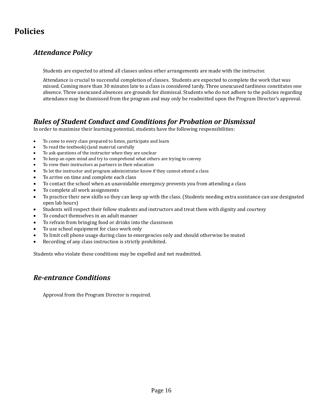# <span id="page-15-0"></span>**Policies**

## *Attendance Policy*

Students are expected to attend all classes unless other arrangements are made with the instructor.

Attendance is crucial to successful completion of classes. Students are expected to complete the work that was missed. Coming more than 30 minutes late to a class is considered tardy. Three unexcused tardiness constitutes one absence. Three unexcused absences are grounds for dismissal. Students who do not adhere to the policies regarding attendance may be dismissed from the program and may only be readmitted upon the Program Director's approval.

## *Rules of Student Conduct and Conditions for Probation or Dismissal*

In order to maximize their learning potential, students have the following responsibilities:

- To come to every class prepared to listen, participate and learn
- To read the textbook(s)and material carefully
- To ask questions of the instructor when they are unclear
- To keep an open mind and try to comprehend what others are trying to convey
- To view their instructors as partners in their education
- To let the instructor and program administrator know if they cannot attend a class
- To arrive on time and complete each class
- To contact the school when an unavoidable emergency prevents you from attending a class
- To complete all work assignments
- To practice their new skills so they can keep up with the class. (Students needing extra assistance can use designated open lab hours)
- Students will respect their fellow students and instructors and treat them with dignity and courtesy
- To conduct themselves in an adult manner
- To refrain from bringing food or drinks into the classroom
- To use school equipment for class work only
- To limit cell phone usage during class to emergencies only and should otherwise be muted
- Recording of any class instruction is strictly prohibited.

Students who violate these conditions may be expelled and not readmitted.

### *Re-entrance Conditions*

Approval from the Program Director is required.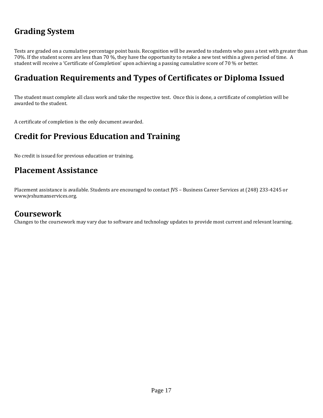# <span id="page-16-0"></span>**Grading System**

Tests are graded on a cumulative percentage point basis. Recognition will be awarded to students who pass a test with greater than 70%. If the student scores are less than 70 %, they have the opportunity to retake a new test within a given period of time. A student will receive a 'Certificate of Completion' upon achieving a passing cumulative score of 70 % or better.

# <span id="page-16-1"></span>**Graduation Requirements and Types of Certificates or Diploma Issued**

The student must complete all class work and take the respective test. Once this is done, a certificate of completion will be awarded to the student.

<span id="page-16-2"></span>A certificate of completion is the only document awarded.

## **Credit for Previous Education and Training**

<span id="page-16-3"></span>No credit is issued for previous education or training.

## **Placement Assistance**

Placement assistance is available. Students are encouraged to contact JVS – Business Career Services at (248) 233-4245 or www.jvshumanservices.org.

## **Coursework**

Changes to the coursework may vary due to software and technology updates to provide most current and relevant learning.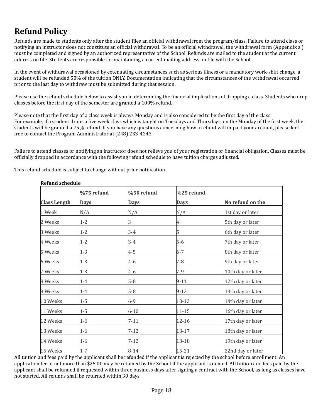# <span id="page-17-0"></span>**Refund Policy**

Refunds are made to students only after the student files an official withdrawal from the program/class. Failure to attend class or notifying an instructor does not constitute an official withdrawal. To be an official withdrawal, the withdrawal form (Appendix a.) must be completed and signed by an authorized representative of the School. Refunds are mailed to the student at the current address on file. Students are responsible for maintaining a current mailing address on file with the School.

In the event of withdrawal occasioned by extenuating circumstances such as serious illness or a mandatory work-shift change, a student will be refunded 50% of the tuition ONLY. Documentation indicating that the circumstances of the withdrawal occurred prior to the last day to withdraw must be submitted during that session.

Please use the refund schedule below to assist you in determining the financial implications of dropping a class. Students who drop classes before the first day of the semester are granted a 100% refund.

Please note that the first day of a class week is always Monday and is also considered to be the first day of the class. For example, if a student drops a five week class which is taught on Tuesdays and Thursdays, on the Monday of the first week, the students will be granted a 75% refund. If you have any questions concerning how a refund will impact your account, please feel free to contact the Program Administrator at (248) 233-4243.

Failure to attend classes or notifying an instructor does not relieve you of your registration or financial obligation. Classes must be officially dropped in accordance with the following refund schedule to have tuition charges adjusted.

This refund schedule is subject to change without prior notification.

|                     | %75 refund  | %50 refund  | %25 refund  |                   |  |
|---------------------|-------------|-------------|-------------|-------------------|--|
| <b>Class Length</b> | <b>Days</b> | <b>Days</b> | <b>Days</b> | No refund on the  |  |
| 1 Week              | N/A         | N/A         | N/A         | 1st day or later  |  |
| 2 Weeks             | $1 - 2$     | 3           | 4           | 5th day or later  |  |
| 3 Weeks             | $1 - 2$     | $3 - 4$     | 5           | 6th day or later  |  |
| 4 Weeks             | $1 - 2$     | $3 - 4$     | 5-6         | 7th day or later  |  |
| 5 Weeks             | $1 - 3$     | 4-5         | $6 - 7$     | 8th day or later  |  |
| 6 Weeks             | $1 - 3$     | 4-6         | $7 - 8$     | 9th day or later  |  |
| 7 Weeks             | $1 - 3$     | 4-6         | 7-9         | 10th day or later |  |
| 8 Weeks             | $1 - 4$     | $5 - 8$     | $9 - 11$    | 12th day or later |  |
| 9 Weeks             | $1 - 4$     | $5 - 8$     | $9 - 12$    | 13th day or later |  |
| 10 Weeks            | $1 - 5$     | $6 - 9$     | $10-13$     | 14th day or later |  |
| 11 Weeks            | $1 - 5$     | $6 - 10$    | $11 - 15$   | 16th day or later |  |
| 12 Weeks            | $1 - 6$     | $7 - 11$    | 12-16       | 17th day or later |  |
| 13 Weeks            | $1 - 6$     | $7 - 12$    | 13-17       | 18th day or later |  |
| 14 Weeks            | $1 - 6$     | $7 - 12$    | 13-18       | 19th day or later |  |
| 15 Weeks            | $1 - 7$     | $8 - 14$    | 15-21       | 22nd day or later |  |

**Refund schedule**

All tuition and fees paid by the applicant shall be refunded if the applicant is rejected by the school before enrollment. An application fee of not more than \$25.00 may be retained by the School if the applicant is denied. All tuition and fees paid by the applicant shall be refunded if requested within three business days after signing a contract with the School, as long as classes have not started. All refunds shall be returned within 30 days.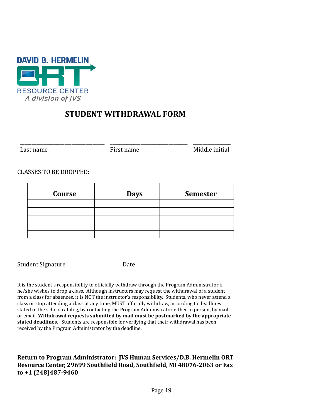

## **STUDENT WITHDRAWAL FORM**

\_\_\_\_\_\_\_\_\_\_\_\_\_\_\_\_\_\_\_\_\_\_\_\_\_\_\_\_\_\_\_\_\_\_\_\_ \_\_\_\_\_\_\_\_\_\_\_\_\_\_\_\_\_\_\_\_\_\_\_\_\_\_\_\_\_\_\_\_\_ \_\_\_\_\_\_\_\_\_\_\_\_\_\_\_\_ Last name First name Middle initial

#### CLASSES TO BE DROPPED:

| Course | <b>Days</b> | <b>Semester</b> |  |
|--------|-------------|-----------------|--|
|        |             |                 |  |
|        |             |                 |  |
|        |             |                 |  |
|        |             |                 |  |
|        |             |                 |  |

Student Signature Date

It is the student's responsibility to officially withdraw through the Program Administrator if he/she wishes to drop a class. Although instructors may request the withdrawal of a student from a class for absences, it is NOT the instructor's responsibility. Students, who never attend a class or stop attending a class at any time, MUST officially withdraw, according to deadlines stated in the school catalog, by contacting the Program Administrator either in person, by mail or email. **Withdrawal requests submitted by mail must be postmarked by the appropriate stated deadlines.** Students are responsible for verifying that their withdrawal has been received by the Program Administrator by the deadline.

#### <span id="page-18-0"></span>**Return to Program Administrator: JVS Human Services/D.B. Hermelin ORT Resource Center, 29699 Southfield Road, Southfield, MI 48076-2063 or Fax to +1 (248)487-9460**